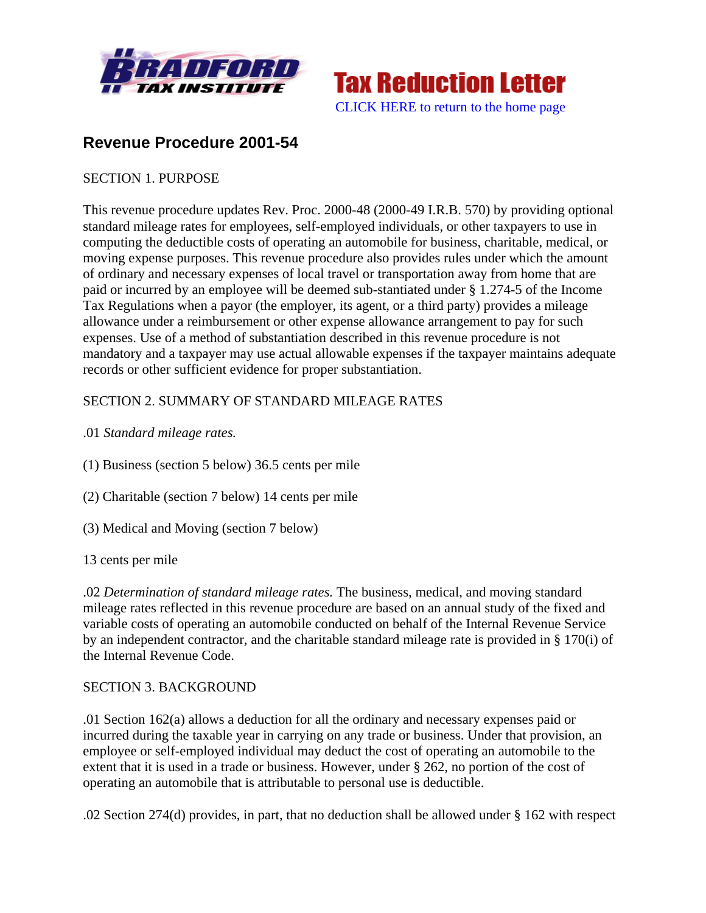



# **Revenue Procedure 2001-54**

#### SECTION 1. PURPOSE

This revenue procedure updates Rev. Proc. 2000-48 (2000-49 I.R.B. 570) by providing optional standard mileage rates for employees, self-employed individuals, or other taxpayers to use in computing the deductible costs of operating an automobile for business, charitable, medical, or moving expense purposes. This revenue procedure also provides rules under which the amount of ordinary and necessary expenses of local travel or transportation away from home that are paid or incurred by an employee will be deemed sub-stantiated under § 1.274-5 of the Income Tax Regulations when a payor (the employer, its agent, or a third party) provides a mileage allowance under a reimbursement or other expense allowance arrangement to pay for such expenses. Use of a method of substantiation described in this revenue procedure is not mandatory and a taxpayer may use actual allowable expenses if the taxpayer maintains adequate records or other sufficient evidence for proper substantiation.

## SECTION 2. SUMMARY OF STANDARD MILEAGE RATES

- .01 *Standard mileage rates.*
- (1) Business (section 5 below) 36.5 cents per mile
- (2) Charitable (section 7 below) 14 cents per mile
- (3) Medical and Moving (section 7 below)

13 cents per mile

.02 *Determination of standard mileage rates.* The business, medical, and moving standard mileage rates reflected in this revenue procedure are based on an annual study of the fixed and variable costs of operating an automobile conducted on behalf of the Internal Revenue Service by an independent contractor, and the charitable standard mileage rate is provided in § 170(i) of the Internal Revenue Code.

#### SECTION 3. BACKGROUND

.01 Section 162(a) allows a deduction for all the ordinary and necessary expenses paid or incurred during the taxable year in carrying on any trade or business. Under that provision, an employee or self-employed individual may deduct the cost of operating an automobile to the extent that it is used in a trade or business. However, under § 262, no portion of the cost of operating an automobile that is attributable to personal use is deductible.

.02 Section 274(d) provides, in part, that no deduction shall be allowed under § 162 with respect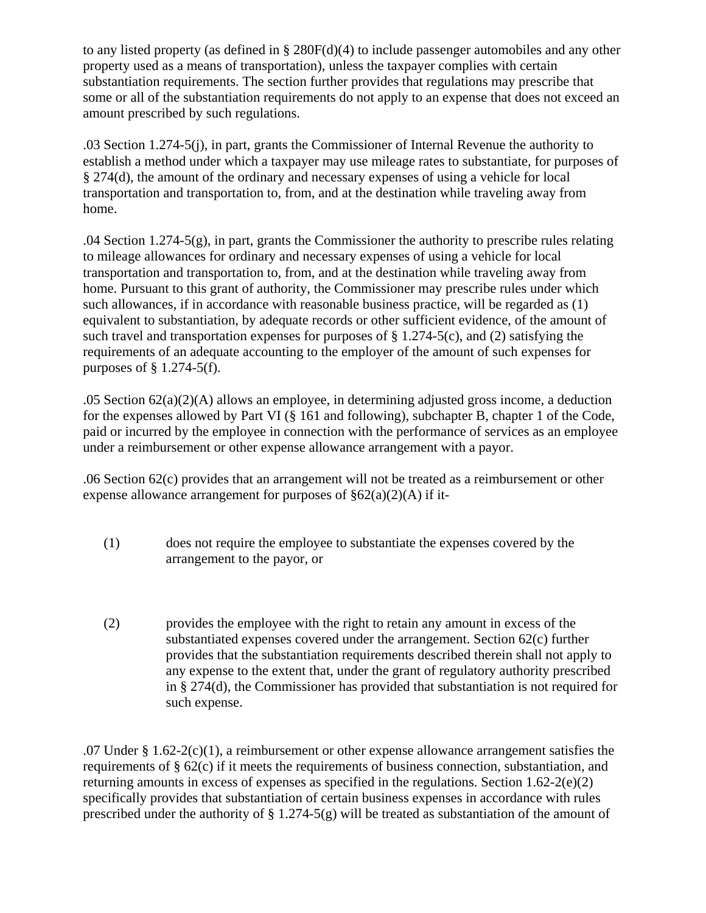to any listed property (as defined in § 280F(d)(4) to include passenger automobiles and any other property used as a means of transportation), unless the taxpayer complies with certain substantiation requirements. The section further provides that regulations may prescribe that some or all of the substantiation requirements do not apply to an expense that does not exceed an amount prescribed by such regulations.

.03 Section 1.274-5(j), in part, grants the Commissioner of Internal Revenue the authority to establish a method under which a taxpayer may use mileage rates to substantiate, for purposes of § 274(d), the amount of the ordinary and necessary expenses of using a vehicle for local transportation and transportation to, from, and at the destination while traveling away from home.

.04 Section 1.274-5(g), in part, grants the Commissioner the authority to prescribe rules relating to mileage allowances for ordinary and necessary expenses of using a vehicle for local transportation and transportation to, from, and at the destination while traveling away from home. Pursuant to this grant of authority, the Commissioner may prescribe rules under which such allowances, if in accordance with reasonable business practice, will be regarded as (1) equivalent to substantiation, by adequate records or other sufficient evidence, of the amount of such travel and transportation expenses for purposes of  $\S 1.274-5(c)$ , and (2) satisfying the requirements of an adequate accounting to the employer of the amount of such expenses for purposes of § 1.274-5(f).

.05 Section 62(a)(2)(A) allows an employee, in determining adjusted gross income, a deduction for the expenses allowed by Part VI (§ 161 and following), subchapter B, chapter 1 of the Code, paid or incurred by the employee in connection with the performance of services as an employee under a reimbursement or other expense allowance arrangement with a payor.

.06 Section 62(c) provides that an arrangement will not be treated as a reimbursement or other expense allowance arrangement for purposes of  $\S62(a)(2)(A)$  if it-

- (1) does not require the employee to substantiate the expenses covered by the arrangement to the payor, or
- (2) provides the employee with the right to retain any amount in excess of the substantiated expenses covered under the arrangement. Section 62(c) further provides that the substantiation requirements described therein shall not apply to any expense to the extent that, under the grant of regulatory authority prescribed in § 274(d), the Commissioner has provided that substantiation is not required for such expense.

.07 Under  $\S 1.62-2(c)(1)$ , a reimbursement or other expense allowance arrangement satisfies the requirements of § 62(c) if it meets the requirements of business connection, substantiation, and returning amounts in excess of expenses as specified in the regulations. Section  $1.62-2(e)(2)$ specifically provides that substantiation of certain business expenses in accordance with rules prescribed under the authority of  $\S 1.274-5(g)$  will be treated as substantiation of the amount of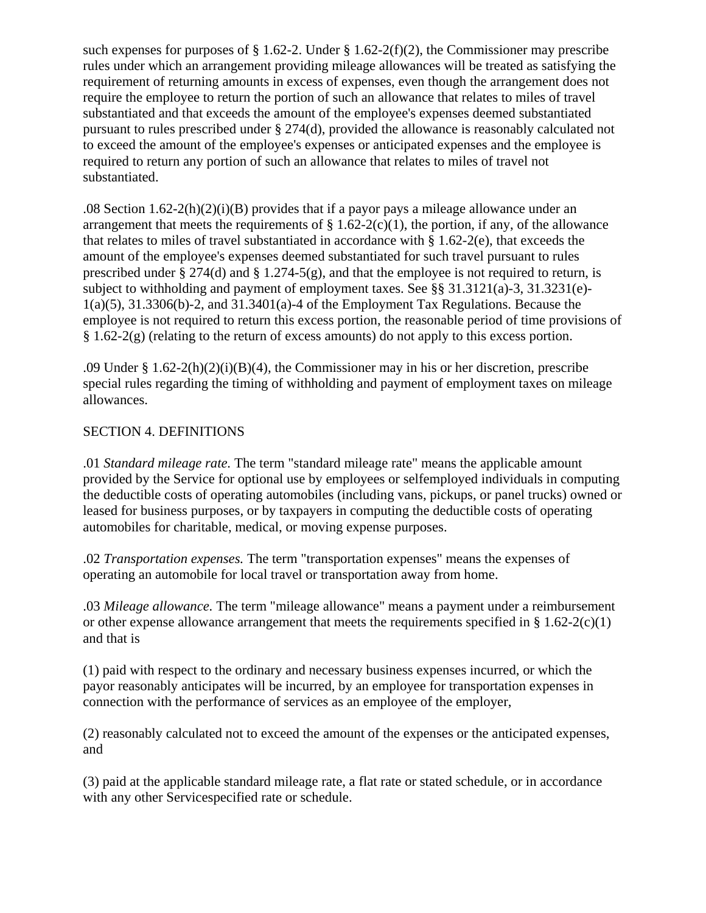such expenses for purposes of § 1.62-2. Under § 1.62-2(f)(2), the Commissioner may prescribe rules under which an arrangement providing mileage allowances will be treated as satisfying the requirement of returning amounts in excess of expenses, even though the arrangement does not require the employee to return the portion of such an allowance that relates to miles of travel substantiated and that exceeds the amount of the employee's expenses deemed substantiated pursuant to rules prescribed under § 274(d), provided the allowance is reasonably calculated not to exceed the amount of the employee's expenses or anticipated expenses and the employee is required to return any portion of such an allowance that relates to miles of travel not substantiated.

.08 Section 1.62-2(h)(2)(i)(B) provides that if a payor pays a mileage allowance under an arrangement that meets the requirements of  $\S$  1.62-2(c)(1), the portion, if any, of the allowance that relates to miles of travel substantiated in accordance with  $\S$  1.62-2(e), that exceeds the amount of the employee's expenses deemed substantiated for such travel pursuant to rules prescribed under § 274(d) and § 1.274-5(g), and that the employee is not required to return, is subject to withholding and payment of employment taxes. See §§ 31.3121(a)-3, 31.3231(e)-  $1(a)(5)$ ,  $31.3306(b)-2$ , and  $31.3401(a)-4$  of the Employment Tax Regulations. Because the employee is not required to return this excess portion, the reasonable period of time provisions of § 1.62-2(g) (relating to the return of excess amounts) do not apply to this excess portion.

.09 Under §  $1.62-2(h)(2)(i)(B)(4)$ , the Commissioner may in his or her discretion, prescribe special rules regarding the timing of withholding and payment of employment taxes on mileage allowances.

#### SECTION 4. DEFINITIONS

.01 *Standard mileage rate.* The term "standard mileage rate" means the applicable amount provided by the Service for optional use by employees or selfemployed individuals in computing the deductible costs of operating automobiles (including vans, pickups, or panel trucks) owned or leased for business purposes, or by taxpayers in computing the deductible costs of operating automobiles for charitable, medical, or moving expense purposes.

.02 *Transportation expenses.* The term "transportation expenses" means the expenses of operating an automobile for local travel or transportation away from home.

.03 *Mileage allowance.* The term "mileage allowance" means a payment under a reimbursement or other expense allowance arrangement that meets the requirements specified in  $\S 1.62-2(c)(1)$ and that is

(1) paid with respect to the ordinary and necessary business expenses incurred, or which the payor reasonably anticipates will be incurred, by an employee for transportation expenses in connection with the performance of services as an employee of the employer,

(2) reasonably calculated not to exceed the amount of the expenses or the anticipated expenses, and

(3) paid at the applicable standard mileage rate, a flat rate or stated schedule, or in accordance with any other Servicespecified rate or schedule.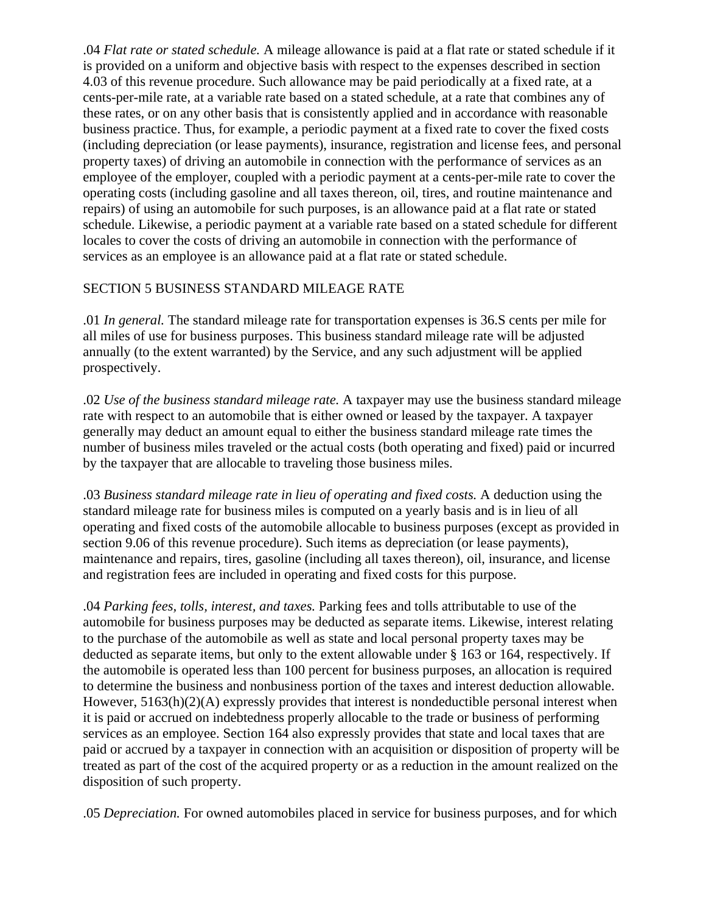.04 *Flat rate or stated schedule.* A mileage allowance is paid at a flat rate or stated schedule if it is provided on a uniform and objective basis with respect to the expenses described in section 4.03 of this revenue procedure. Such allowance may be paid periodically at a fixed rate, at a cents-per-mile rate, at a variable rate based on a stated schedule, at a rate that combines any of these rates, or on any other basis that is consistently applied and in accordance with reasonable business practice. Thus, for example, a periodic payment at a fixed rate to cover the fixed costs (including depreciation (or lease payments), insurance, registration and license fees, and personal property taxes) of driving an automobile in connection with the performance of services as an employee of the employer, coupled with a periodic payment at a cents-per-mile rate to cover the operating costs (including gasoline and all taxes thereon, oil, tires, and routine maintenance and repairs) of using an automobile for such purposes, is an allowance paid at a flat rate or stated schedule. Likewise, a periodic payment at a variable rate based on a stated schedule for different locales to cover the costs of driving an automobile in connection with the performance of services as an employee is an allowance paid at a flat rate or stated schedule.

#### SECTION 5 BUSINESS STANDARD MILEAGE RATE

.01 *In general.* The standard mileage rate for transportation expenses is 36.S cents per mile for all miles of use for business purposes. This business standard mileage rate will be adjusted annually (to the extent warranted) by the Service, and any such adjustment will be applied prospectively.

.02 *Use of the business standard mileage rate.* A taxpayer may use the business standard mileage rate with respect to an automobile that is either owned or leased by the taxpayer. A taxpayer generally may deduct an amount equal to either the business standard mileage rate times the number of business miles traveled or the actual costs (both operating and fixed) paid or incurred by the taxpayer that are allocable to traveling those business miles.

.03 *Business standard mileage rate in lieu of operating and fixed costs.* A deduction using the standard mileage rate for business miles is computed on a yearly basis and is in lieu of all operating and fixed costs of the automobile allocable to business purposes (except as provided in section 9.06 of this revenue procedure). Such items as depreciation (or lease payments), maintenance and repairs, tires, gasoline (including all taxes thereon), oil, insurance, and license and registration fees are included in operating and fixed costs for this purpose.

.04 *Parking fees, tolls, interest, and taxes.* Parking fees and tolls attributable to use of the automobile for business purposes may be deducted as separate items. Likewise, interest relating to the purchase of the automobile as well as state and local personal property taxes may be deducted as separate items, but only to the extent allowable under § 163 or 164, respectively. If the automobile is operated less than 100 percent for business purposes, an allocation is required to determine the business and nonbusiness portion of the taxes and interest deduction allowable. However,  $5163(h)(2)(A)$  expressly provides that interest is nondeductible personal interest when it is paid or accrued on indebtedness properly allocable to the trade or business of performing services as an employee. Section 164 also expressly provides that state and local taxes that are paid or accrued by a taxpayer in connection with an acquisition or disposition of property will be treated as part of the cost of the acquired property or as a reduction in the amount realized on the disposition of such property.

.05 *Depreciation.* For owned automobiles placed in service for business purposes, and for which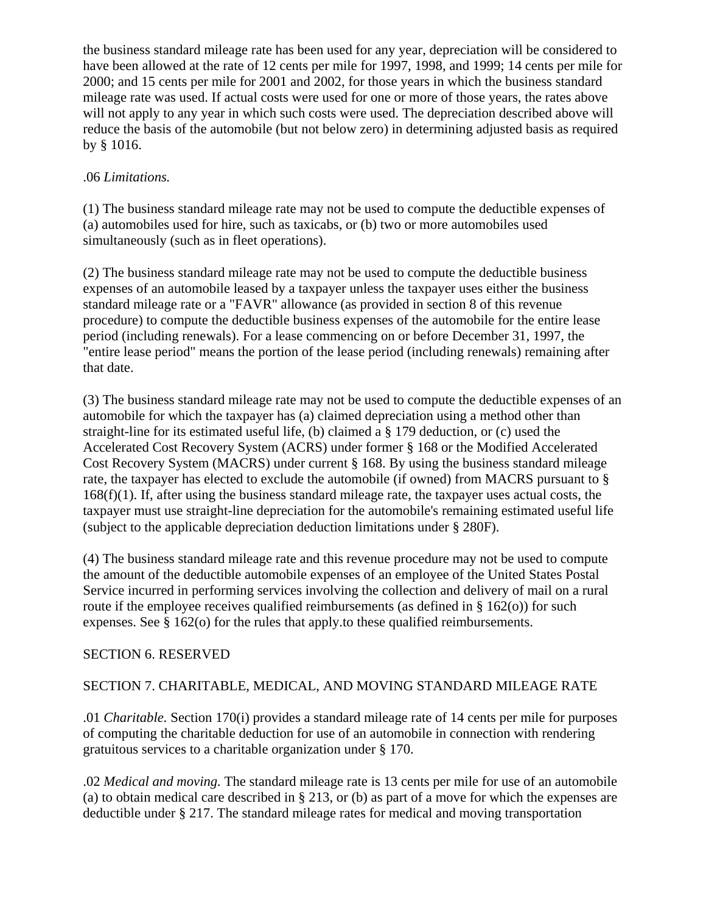the business standard mileage rate has been used for any year, depreciation will be considered to have been allowed at the rate of 12 cents per mile for 1997, 1998, and 1999; 14 cents per mile for 2000; and 15 cents per mile for 2001 and 2002, for those years in which the business standard mileage rate was used. If actual costs were used for one or more of those years, the rates above will not apply to any year in which such costs were used. The depreciation described above will reduce the basis of the automobile (but not below zero) in determining adjusted basis as required by § 1016.

#### .06 *Limitations.*

(1) The business standard mileage rate may not be used to compute the deductible expenses of (a) automobiles used for hire, such as taxicabs, or (b) two or more automobiles used simultaneously (such as in fleet operations).

(2) The business standard mileage rate may not be used to compute the deductible business expenses of an automobile leased by a taxpayer unless the taxpayer uses either the business standard mileage rate or a "FAVR" allowance (as provided in section 8 of this revenue procedure) to compute the deductible business expenses of the automobile for the entire lease period (including renewals). For a lease commencing on or before December 31, 1997, the "entire lease period" means the portion of the lease period (including renewals) remaining after that date.

(3) The business standard mileage rate may not be used to compute the deductible expenses of an automobile for which the taxpayer has (a) claimed depreciation using a method other than straight-line for its estimated useful life, (b) claimed a § 179 deduction, or (c) used the Accelerated Cost Recovery System (ACRS) under former § 168 or the Modified Accelerated Cost Recovery System (MACRS) under current § 168. By using the business standard mileage rate, the taxpayer has elected to exclude the automobile (if owned) from MACRS pursuant to § 168(f)(1). If, after using the business standard mileage rate, the taxpayer uses actual costs, the taxpayer must use straight-line depreciation for the automobile's remaining estimated useful life (subject to the applicable depreciation deduction limitations under § 280F).

(4) The business standard mileage rate and this revenue procedure may not be used to compute the amount of the deductible automobile expenses of an employee of the United States Postal Service incurred in performing services involving the collection and delivery of mail on a rural route if the employee receives qualified reimbursements (as defined in § 162(o)) for such expenses. See § 162(o) for the rules that apply.to these qualified reimbursements.

# SECTION 6. RESERVED

# SECTION 7. CHARITABLE, MEDICAL, AND MOVING STANDARD MILEAGE RATE

.01 *Charitable.* Section 170(i) provides a standard mileage rate of 14 cents per mile for purposes of computing the charitable deduction for use of an automobile in connection with rendering gratuitous services to a charitable organization under § 170.

.02 *Medical and moving.* The standard mileage rate is 13 cents per mile for use of an automobile (a) to obtain medical care described in § 213, or (b) as part of a move for which the expenses are deductible under § 217. The standard mileage rates for medical and moving transportation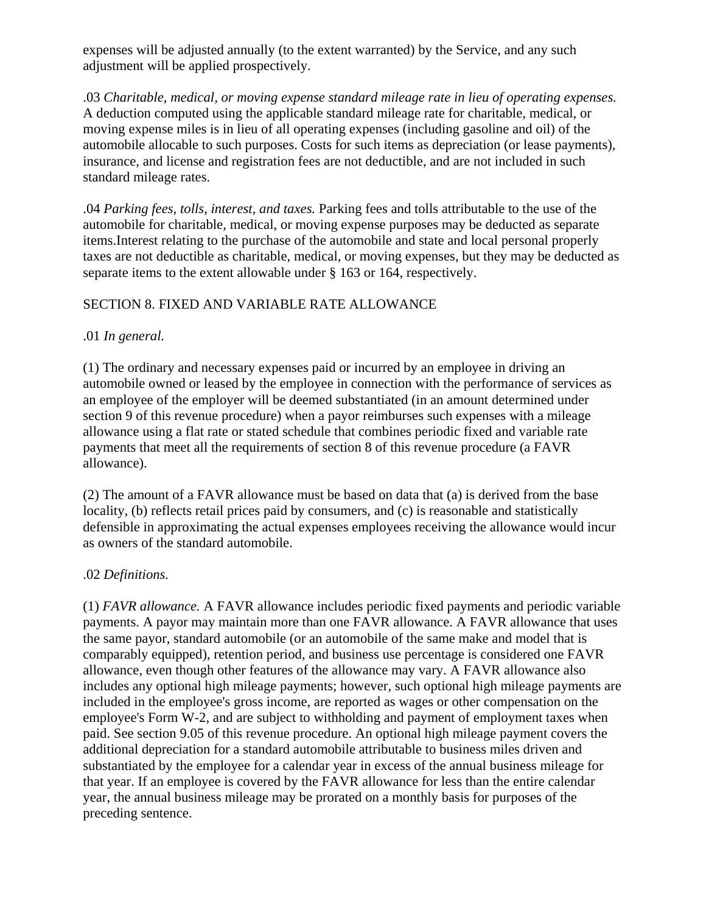expenses will be adjusted annually (to the extent warranted) by the Service, and any such adjustment will be applied prospectively.

.03 *Charitable, medical, or moving expense standard mileage rate in lieu of operating expenses.* A deduction computed using the applicable standard mileage rate for charitable, medical, or moving expense miles is in lieu of all operating expenses (including gasoline and oil) of the automobile allocable to such purposes. Costs for such items as depreciation (or lease payments), insurance, and license and registration fees are not deductible, and are not included in such standard mileage rates.

.04 *Parking fees, tolls, interest, and taxes.* Parking fees and tolls attributable to the use of the automobile for charitable, medical, or moving expense purposes may be deducted as separate items.Interest relating to the purchase of the automobile and state and local personal properly taxes are not deductible as charitable, medical, or moving expenses, but they may be deducted as separate items to the extent allowable under § 163 or 164, respectively.

## SECTION 8. FIXED AND VARIABLE RATE ALLOWANCE

#### .01 *In general.*

(1) The ordinary and necessary expenses paid or incurred by an employee in driving an automobile owned or leased by the employee in connection with the performance of services as an employee of the employer will be deemed substantiated (in an amount determined under section 9 of this revenue procedure) when a payor reimburses such expenses with a mileage allowance using a flat rate or stated schedule that combines periodic fixed and variable rate payments that meet all the requirements of section 8 of this revenue procedure (a FAVR allowance).

(2) The amount of a FAVR allowance must be based on data that (a) is derived from the base locality, (b) reflects retail prices paid by consumers, and (c) is reasonable and statistically defensible in approximating the actual expenses employees receiving the allowance would incur as owners of the standard automobile.

#### .02 *Definitions.*

(1) *FAVR allowance.* A FAVR allowance includes periodic fixed payments and periodic variable payments. A payor may maintain more than one FAVR allowance. A FAVR allowance that uses the same payor, standard automobile (or an automobile of the same make and model that is comparably equipped), retention period, and business use percentage is considered one FAVR allowance, even though other features of the allowance may vary. A FAVR allowance also includes any optional high mileage payments; however, such optional high mileage payments are included in the employee's gross income, are reported as wages or other compensation on the employee's Form W-2, and are subject to withholding and payment of employment taxes when paid. See section 9.05 of this revenue procedure. An optional high mileage payment covers the additional depreciation for a standard automobile attributable to business miles driven and substantiated by the employee for a calendar year in excess of the annual business mileage for that year. If an employee is covered by the FAVR allowance for less than the entire calendar year, the annual business mileage may be prorated on a monthly basis for purposes of the preceding sentence.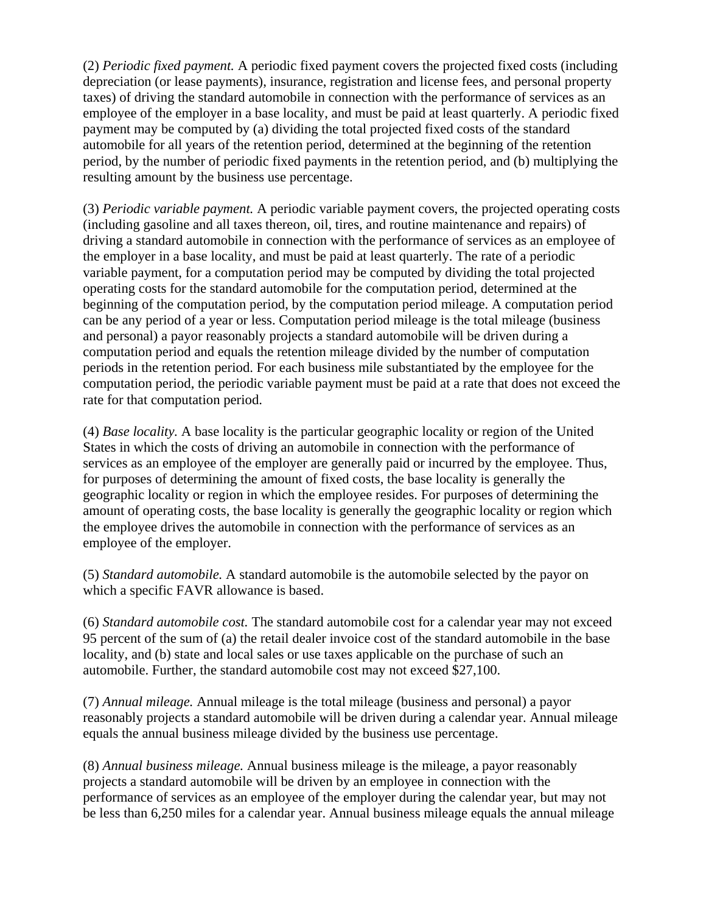(2) *Periodic fixed payment.* A periodic fixed payment covers the projected fixed costs (including depreciation (or lease payments), insurance, registration and license fees, and personal property taxes) of driving the standard automobile in connection with the performance of services as an employee of the employer in a base locality, and must be paid at least quarterly. A periodic fixed payment may be computed by (a) dividing the total projected fixed costs of the standard automobile for all years of the retention period, determined at the beginning of the retention period, by the number of periodic fixed payments in the retention period, and (b) multiplying the resulting amount by the business use percentage.

(3) *Periodic variable payment.* A periodic variable payment covers, the projected operating costs (including gasoline and all taxes thereon, oil, tires, and routine maintenance and repairs) of driving a standard automobile in connection with the performance of services as an employee of the employer in a base locality, and must be paid at least quarterly. The rate of a periodic variable payment, for a computation period may be computed by dividing the total projected operating costs for the standard automobile for the computation period, determined at the beginning of the computation period, by the computation period mileage. A computation period can be any period of a year or less. Computation period mileage is the total mileage (business and personal) a payor reasonably projects a standard automobile will be driven during a computation period and equals the retention mileage divided by the number of computation periods in the retention period. For each business mile substantiated by the employee for the computation period, the periodic variable payment must be paid at a rate that does not exceed the rate for that computation period.

(4) *Base locality.* A base locality is the particular geographic locality or region of the United States in which the costs of driving an automobile in connection with the performance of services as an employee of the employer are generally paid or incurred by the employee. Thus, for purposes of determining the amount of fixed costs, the base locality is generally the geographic locality or region in which the employee resides. For purposes of determining the amount of operating costs, the base locality is generally the geographic locality or region which the employee drives the automobile in connection with the performance of services as an employee of the employer.

(5) *Standard automobile.* A standard automobile is the automobile selected by the payor on which a specific FAVR allowance is based.

(6) *Standard automobile cost.* The standard automobile cost for a calendar year may not exceed 95 percent of the sum of (a) the retail dealer invoice cost of the standard automobile in the base locality, and (b) state and local sales or use taxes applicable on the purchase of such an automobile. Further, the standard automobile cost may not exceed \$27,100.

(7) *Annual mileage.* Annual mileage is the total mileage (business and personal) a payor reasonably projects a standard automobile will be driven during a calendar year. Annual mileage equals the annual business mileage divided by the business use percentage.

(8) *Annual business mileage.* Annual business mileage is the mileage, a payor reasonably projects a standard automobile will be driven by an employee in connection with the performance of services as an employee of the employer during the calendar year, but may not be less than 6,250 miles for a calendar year. Annual business mileage equals the annual mileage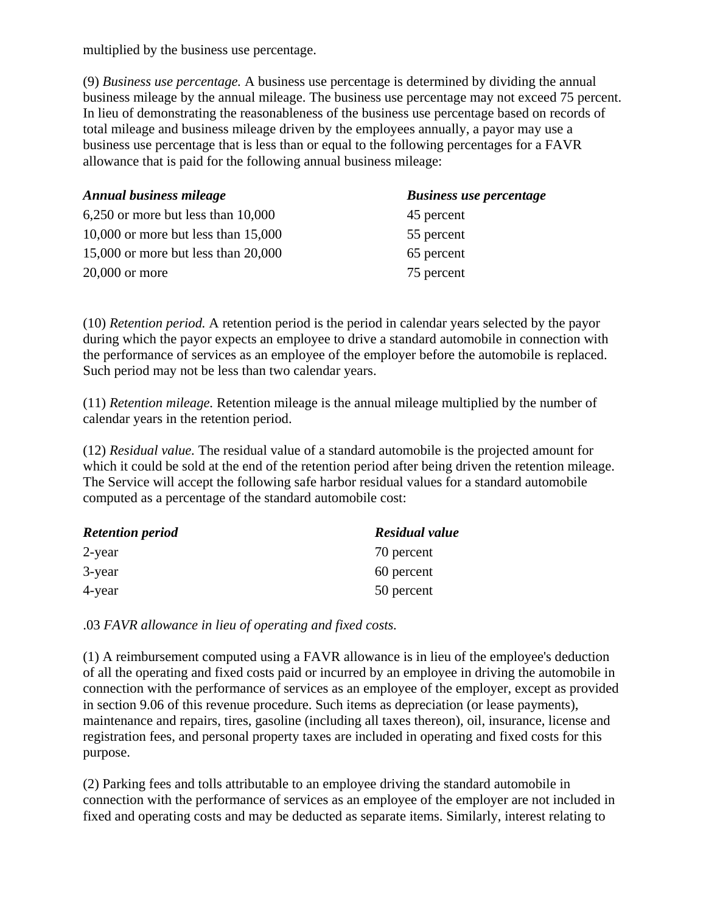multiplied by the business use percentage.

(9) *Business use percentage.* A business use percentage is determined by dividing the annual business mileage by the annual mileage. The business use percentage may not exceed 75 percent. In lieu of demonstrating the reasonableness of the business use percentage based on records of total mileage and business mileage driven by the employees annually, a payor may use a business use percentage that is less than or equal to the following percentages for a FAVR allowance that is paid for the following annual business mileage:

| <b>Annual business mileage</b>          | <b>Business use percentage</b> |
|-----------------------------------------|--------------------------------|
| $6,250$ or more but less than $10,000$  | 45 percent                     |
| $10,000$ or more but less than $15,000$ | 55 percent                     |
| 15,000 or more but less than $20,000$   | 65 percent                     |
| $20,000$ or more                        | 75 percent                     |

(10) *Retention period.* A retention period is the period in calendar years selected by the payor during which the payor expects an employee to drive a standard automobile in connection with the performance of services as an employee of the employer before the automobile is replaced. Such period may not be less than two calendar years.

(11) *Retention mileage.* Retention mileage is the annual mileage multiplied by the number of calendar years in the retention period.

(12) *Residual value.* The residual value of a standard automobile is the projected amount for which it could be sold at the end of the retention period after being driven the retention mileage. The Service will accept the following safe harbor residual values for a standard automobile computed as a percentage of the standard automobile cost:

| <b>Retention period</b> | <b>Residual value</b> |
|-------------------------|-----------------------|
| $2$ -year               | 70 percent            |
| 3-year                  | 60 percent            |
| 4-year                  | 50 percent            |

.03 *FAVR allowance in lieu of operating and fixed costs.*

(1) A reimbursement computed using a FAVR allowance is in lieu of the employee's deduction of all the operating and fixed costs paid or incurred by an employee in driving the automobile in connection with the performance of services as an employee of the employer, except as provided in section 9.06 of this revenue procedure. Such items as depreciation (or lease payments), maintenance and repairs, tires, gasoline (including all taxes thereon), oil, insurance, license and registration fees, and personal property taxes are included in operating and fixed costs for this purpose.

(2) Parking fees and tolls attributable to an employee driving the standard automobile in connection with the performance of services as an employee of the employer are not included in fixed and operating costs and may be deducted as separate items. Similarly, interest relating to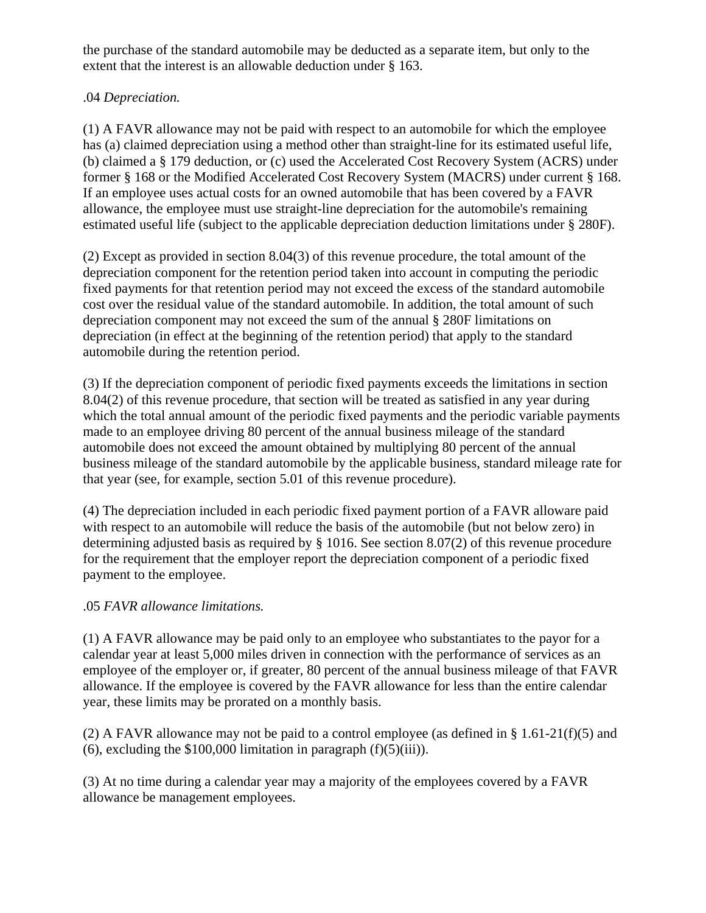the purchase of the standard automobile may be deducted as a separate item, but only to the extent that the interest is an allowable deduction under § 163.

# .04 *Depreciation.*

(1) A FAVR allowance may not be paid with respect to an automobile for which the employee has (a) claimed depreciation using a method other than straight-line for its estimated useful life, (b) claimed a § 179 deduction, or (c) used the Accelerated Cost Recovery System (ACRS) under former § 168 or the Modified Accelerated Cost Recovery System (MACRS) under current § 168. If an employee uses actual costs for an owned automobile that has been covered by a FAVR allowance, the employee must use straight-line depreciation for the automobile's remaining estimated useful life (subject to the applicable depreciation deduction limitations under § 280F).

(2) Except as provided in section 8.04(3) of this revenue procedure, the total amount of the depreciation component for the retention period taken into account in computing the periodic fixed payments for that retention period may not exceed the excess of the standard automobile cost over the residual value of the standard automobile. In addition, the total amount of such depreciation component may not exceed the sum of the annual § 280F limitations on depreciation (in effect at the beginning of the retention period) that apply to the standard automobile during the retention period.

(3) If the depreciation component of periodic fixed payments exceeds the limitations in section 8.04(2) of this revenue procedure, that section will be treated as satisfied in any year during which the total annual amount of the periodic fixed payments and the periodic variable payments made to an employee driving 80 percent of the annual business mileage of the standard automobile does not exceed the amount obtained by multiplying 80 percent of the annual business mileage of the standard automobile by the applicable business, standard mileage rate for that year (see, for example, section 5.01 of this revenue procedure).

(4) The depreciation included in each periodic fixed payment portion of a FAVR alloware paid with respect to an automobile will reduce the basis of the automobile (but not below zero) in determining adjusted basis as required by § 1016. See section 8.07(2) of this revenue procedure for the requirement that the employer report the depreciation component of a periodic fixed payment to the employee.

#### .05 *FAVR allowance limitations.*

(1) A FAVR allowance may be paid only to an employee who substantiates to the payor for a calendar year at least 5,000 miles driven in connection with the performance of services as an employee of the employer or, if greater, 80 percent of the annual business mileage of that FAVR allowance. If the employee is covered by the FAVR allowance for less than the entire calendar year, these limits may be prorated on a monthly basis.

(2) A FAVR allowance may not be paid to a control employee (as defined in  $\S 1.61-21(f)(5)$  and (6), excluding the  $$100,000$  limitation in paragraph  $(f)(5)(iii)$ .

(3) At no time during a calendar year may a majority of the employees covered by a FAVR allowance be management employees.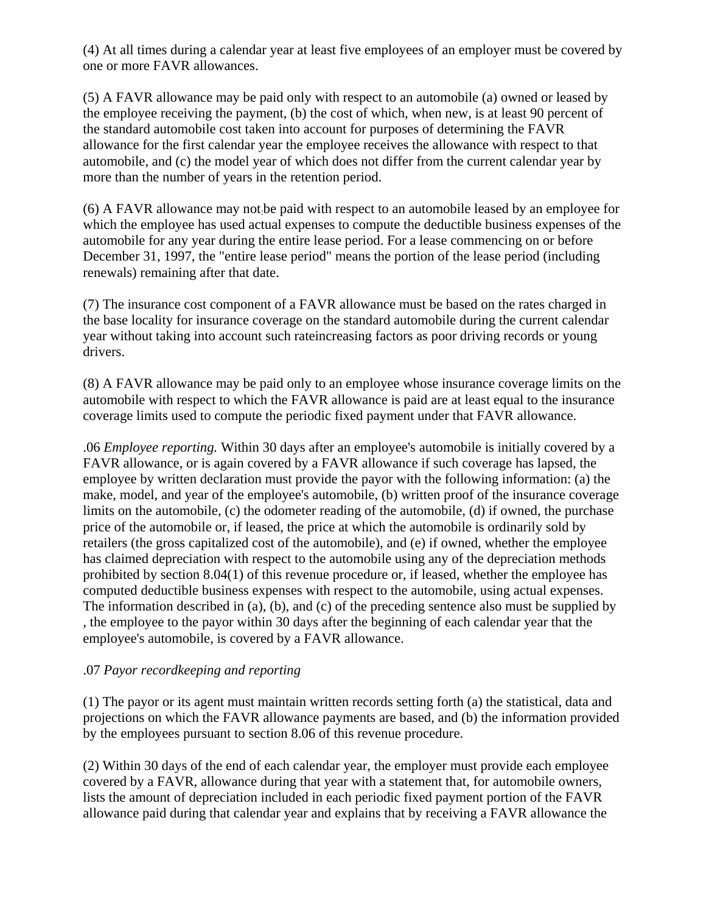(4) At all times during a calendar year at least five employees of an employer must be covered by one or more FAVR allowances.

(5) A FAVR allowance may be paid only with respect to an automobile (a) owned or leased by the employee receiving the payment, (b) the cost of which, when new, is at least 90 percent of the standard automobile cost taken into account for purposes of determining the FAVR allowance for the first calendar year the employee receives the allowance with respect to that automobile, and (c) the model year of which does not differ from the current calendar year by more than the number of years in the retention period.

(6) A FAVR allowance may not:be paid with respect to an automobile leased by an employee for which the employee has used actual expenses to compute the deductible business expenses of the automobile for any year during the entire lease period. For a lease commencing on or before December 31, 1997, the "entire lease period" means the portion of the lease period (including renewals) remaining after that date.

(7) The insurance cost component of a FAVR allowance must be based on the rates charged in the base locality for insurance coverage on the standard automobile during the current calendar year without taking into account such rateincreasing factors as poor driving records or young drivers.

(8) A FAVR allowance may be paid only to an employee whose insurance coverage limits on the automobile with respect to which the FAVR allowance is paid are at least equal to the insurance coverage limits used to compute the periodic fixed payment under that FAVR allowance.

.06 *Employee reporting.* Within 30 days after an employee's automobile is initially covered by a FAVR allowance, or is again covered by a FAVR allowance if such coverage has lapsed, the employee by written declaration must provide the payor with the following information: (a) the make, model, and year of the employee's automobile, (b) written proof of the insurance coverage limits on the automobile, (c) the odometer reading of the automobile, (d) if owned, the purchase price of the automobile or, if leased, the price at which the automobile is ordinarily sold by retailers (the gross capitalized cost of the automobile), and (e) if owned, whether the employee has claimed depreciation with respect to the automobile using any of the depreciation methods prohibited by section 8.04(1) of this revenue procedure or, if leased, whether the employee has computed deductible business expenses with respect to the automobile, using actual expenses. The information described in (a), (b), and (c) of the preceding sentence also must be supplied by *,* the employee to the payor within 30 days after the beginning of each calendar year that the employee's automobile, is covered by a FAVR allowance.

#### .07 *Payor recordkeeping and reporting*

(1) The payor or its agent must maintain written records setting forth (a) the statistical, data and projections on which the FAVR allowance payments are based, and (b) the information provided by the employees pursuant to section 8.06 of this revenue procedure.

(2) Within 30 days of the end of each calendar year, the employer must provide each employee covered by a FAVR, allowance during that year with a statement that, for automobile owners, lists the amount of depreciation included in each periodic fixed payment portion of the FAVR allowance paid during that calendar year and explains that by receiving a FAVR allowance the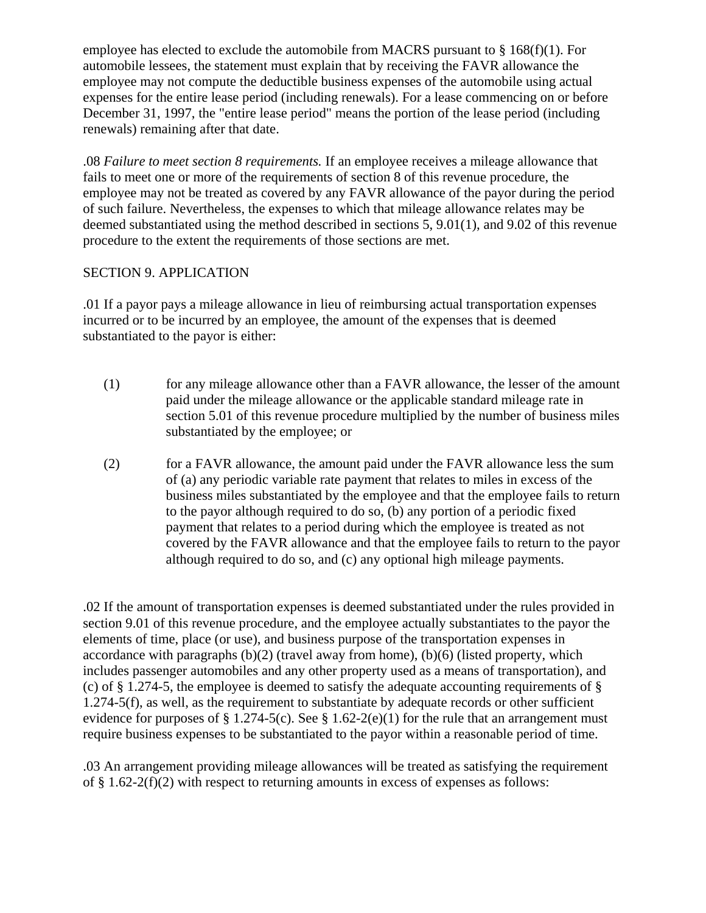employee has elected to exclude the automobile from MACRS pursuant to  $\S$  168(f)(1). For automobile lessees, the statement must explain that by receiving the FAVR allowance the employee may not compute the deductible business expenses of the automobile using actual expenses for the entire lease period (including renewals). For a lease commencing on or before December 31, 1997, the "entire lease period" means the portion of the lease period (including renewals) remaining after that date.

.08 *Failure to meet section 8 requirements.* If an employee receives a mileage allowance that fails to meet one or more of the requirements of section 8 of this revenue procedure, the employee may not be treated as covered by any FAVR allowance of the payor during the period of such failure. Nevertheless, the expenses to which that mileage allowance relates may be deemed substantiated using the method described in sections 5, 9.01(1), and 9.02 of this revenue procedure to the extent the requirements of those sections are met.

#### SECTION 9. APPLICATION

.01 If a payor pays a mileage allowance in lieu of reimbursing actual transportation expenses incurred or to be incurred by an employee, the amount of the expenses that is deemed substantiated to the payor is either:

- (1) for any mileage allowance other than a FAVR allowance, the lesser of the amount paid under the mileage allowance or the applicable standard mileage rate in section 5.01 of this revenue procedure multiplied by the number of business miles substantiated by the employee; or
- (2) for a FAVR allowance, the amount paid under the FAVR allowance less the sum of (a) any periodic variable rate payment that relates to miles in excess of the business miles substantiated by the employee and that the employee fails to return to the payor although required to do so, (b) any portion of a periodic fixed payment that relates to a period during which the employee is treated as not covered by the FAVR allowance and that the employee fails to return to the payor although required to do so, and (c) any optional high mileage payments.

.02 If the amount of transportation expenses is deemed substantiated under the rules provided in section 9.01 of this revenue procedure, and the employee actually substantiates to the payor the elements of time, place (or use), and business purpose of the transportation expenses in accordance with paragraphs (b)(2) (travel away from home), (b)(6) (listed property, which includes passenger automobiles and any other property used as a means of transportation), and (c) of  $\S$  1.274-5, the employee is deemed to satisfy the adequate accounting requirements of  $\S$ 1.274-5(f), as well, as the requirement to substantiate by adequate records or other sufficient evidence for purposes of § 1.274-5(c). See § 1.62-2(e)(1) for the rule that an arrangement must require business expenses to be substantiated to the payor within a reasonable period of time.

.03 An arrangement providing mileage allowances will be treated as satisfying the requirement of § 1.62-2(f)(2) with respect to returning amounts in excess of expenses as follows: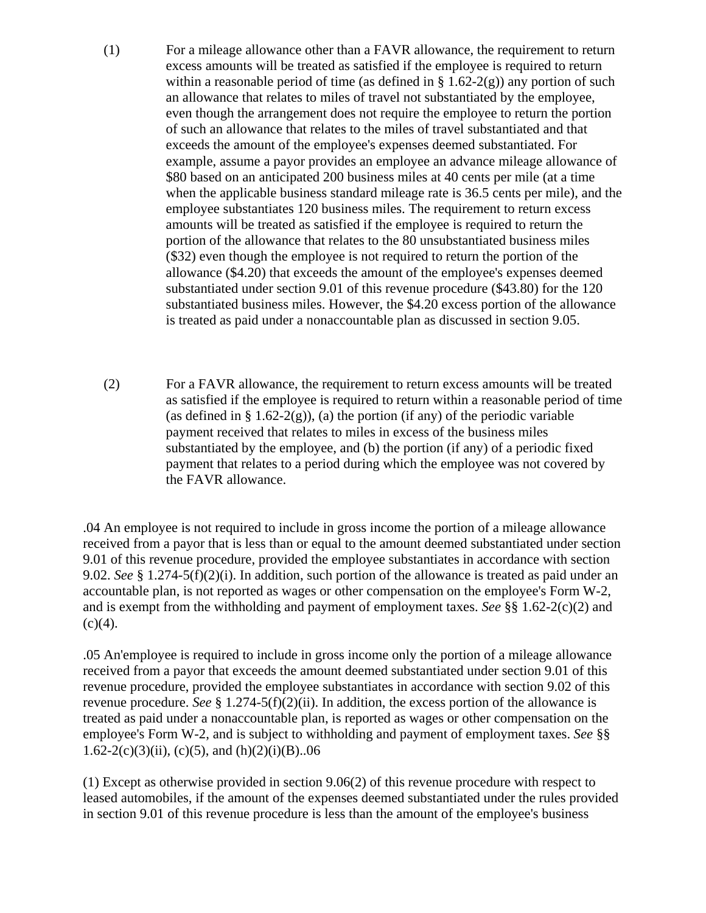- (1) For a mileage allowance other than a FAVR allowance, the requirement to return excess amounts will be treated as satisfied if the employee is required to return within a reasonable period of time (as defined in  $\S 1.62-2(g)$ ) any portion of such an allowance that relates to miles of travel not substantiated by the employee, even though the arrangement does not require the employee to return the portion of such an allowance that relates to the miles of travel substantiated and that exceeds the amount of the employee's expenses deemed substantiated. For example, assume a payor provides an employee an advance mileage allowance of \$80 based on an anticipated 200 business miles at 40 cents per mile (at a time when the applicable business standard mileage rate is 36.5 cents per mile), and the employee substantiates 120 business miles. The requirement to return excess amounts will be treated as satisfied if the employee is required to return the portion of the allowance that relates to the 80 unsubstantiated business miles (\$32) even though the employee is not required to return the portion of the allowance (\$4.20) that exceeds the amount of the employee's expenses deemed substantiated under section 9.01 of this revenue procedure (\$43.80) for the 120 substantiated business miles. However, the \$4.20 excess portion of the allowance is treated as paid under a nonaccountable plan as discussed in section 9.05.
- (2) For a FAVR allowance, the requirement to return excess amounts will be treated as satisfied if the employee is required to return within a reasonable period of time (as defined in § 1.62-2(g)), (a) the portion (if any) of the periodic variable payment received that relates to miles in excess of the business miles substantiated by the employee, and (b) the portion (if any) of a periodic fixed payment that relates to a period during which the employee was not covered by the FAVR allowance.

.04 An employee is not required to include in gross income the portion of a mileage allowance received from a payor that is less than or equal to the amount deemed substantiated under section 9.01 of this revenue procedure, provided the employee substantiates in accordance with section 9.02. *See* § 1.274-5(f)(2)(i). In addition, such portion of the allowance is treated as paid under an accountable plan, is not reported as wages or other compensation on the employee's Form W-2, and is exempt from the withholding and payment of employment taxes. *See* §§ 1.62-2(c)(2) and  $(c)(4)$ .

.05 An'employee is required to include in gross income only the portion of a mileage allowance received from a payor that exceeds the amount deemed substantiated under section 9.01 of this revenue procedure, provided the employee substantiates in accordance with section 9.02 of this revenue procedure. *See* § 1.274-5(f)(2)(ii). In addition, the excess portion of the allowance is treated as paid under a nonaccountable plan, is reported as wages or other compensation on the employee's Form W-2, and is subject to withholding and payment of employment taxes. *See* §§ 1.62-2(c)(3)(ii), (c)(5), and (h)(2)(i)(B)..06

(1) Except as otherwise provided in section 9.06(2) of this revenue procedure with respect to leased automobiles, if the amount of the expenses deemed substantiated under the rules provided in section 9.01 of this revenue procedure is less than the amount of the employee's business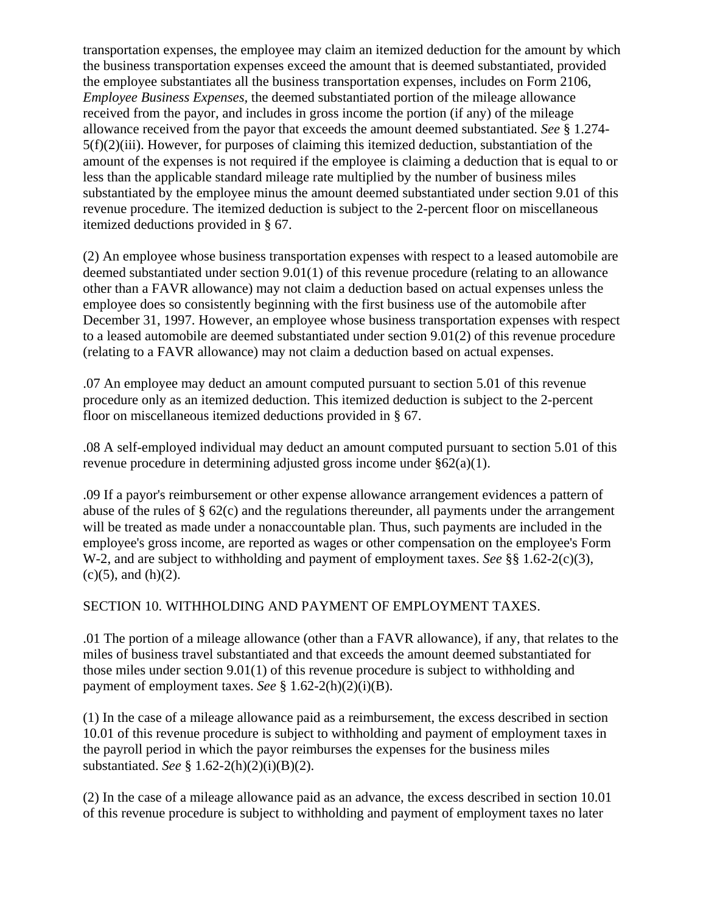transportation expenses, the employee may claim an itemized deduction for the amount by which the business transportation expenses exceed the amount that is deemed substantiated, provided the employee substantiates all the business transportation expenses, includes on Form 2106, *Employee Business Expenses,* the deemed substantiated portion of the mileage allowance received from the payor, and includes in gross income the portion (if any) of the mileage allowance received from the payor that exceeds the amount deemed substantiated. *See* § 1.274-  $5(f)(2)(iii)$ . However, for purposes of claiming this itemized deduction, substantiation of the amount of the expenses is not required if the employee is claiming a deduction that is equal to or less than the applicable standard mileage rate multiplied by the number of business miles substantiated by the employee minus the amount deemed substantiated under section 9.01 of this revenue procedure. The itemized deduction is subject to the 2-percent floor on miscellaneous itemized deductions provided in § 67.

(2) An employee whose business transportation expenses with respect to a leased automobile are deemed substantiated under section 9.01(1) of this revenue procedure (relating to an allowance other than a FAVR allowance) may not claim a deduction based on actual expenses unless the employee does so consistently beginning with the first business use of the automobile after December 31, 1997. However, an employee whose business transportation expenses with respect to a leased automobile are deemed substantiated under section 9.01(2) of this revenue procedure (relating to a FAVR allowance) may not claim a deduction based on actual expenses.

.07 An employee may deduct an amount computed pursuant to section 5.01 of this revenue procedure only as an itemized deduction. This itemized deduction is subject to the 2-percent floor on miscellaneous itemized deductions provided in § 67.

.08 A self-employed individual may deduct an amount computed pursuant to section 5.01 of this revenue procedure in determining adjusted gross income under §62(a)(1).

.09 If a payor's reimbursement or other expense allowance arrangement evidences a pattern of abuse of the rules of § 62(c) and the regulations thereunder, all payments under the arrangement will be treated as made under a nonaccountable plan. Thus, such payments are included in the employee's gross income, are reported as wages or other compensation on the employee's Form W-2, and are subject to withholding and payment of employment taxes. *See* §§ 1.62-2(c)(3),  $(c)(5)$ , and  $(h)(2)$ .

#### SECTION 10. WITHHOLDING AND PAYMENT OF EMPLOYMENT TAXES.

.01 The portion of a mileage allowance (other than a FAVR allowance), if any, that relates to the miles of business travel substantiated and that exceeds the amount deemed substantiated for those miles under section 9.01(1) of this revenue procedure is subject to withholding and payment of employment taxes. *See* § 1.62-2(h)(2)(i)(B).

(1) In the case of a mileage allowance paid as a reimbursement, the excess described in section 10.01 of this revenue procedure is subject to withholding and payment of employment taxes in the payroll period in which the payor reimburses the expenses for the business miles substantiated. *See* § 1.62-2(h)(2)(i)(B)(2).

(2) In the case of a mileage allowance paid as an advance, the excess described in section 10.01 of this revenue procedure is subject to withholding and payment of employment taxes no later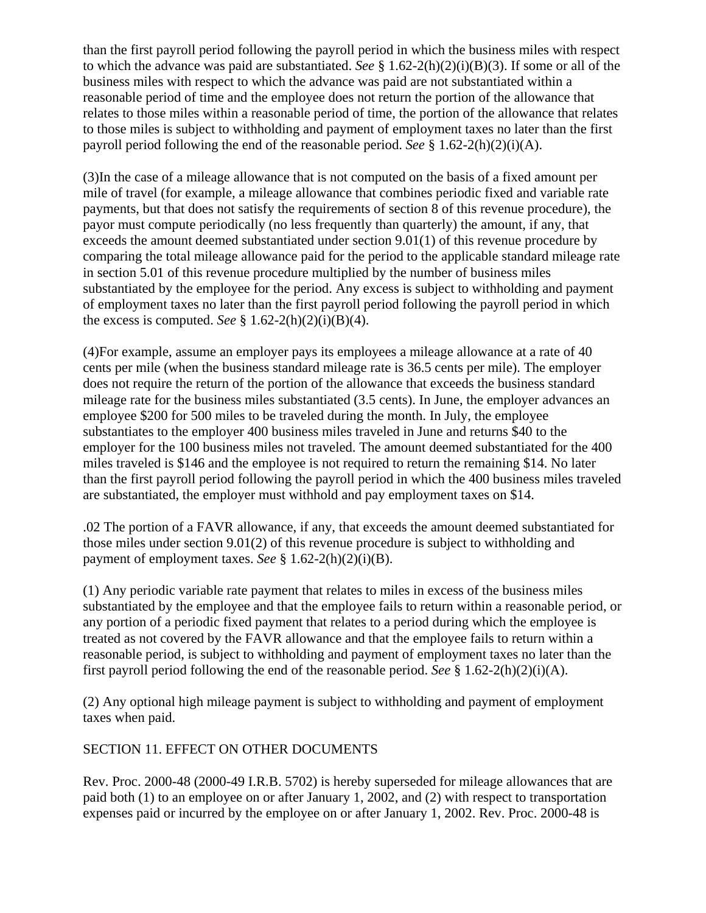than the first payroll period following the payroll period in which the business miles with respect to which the advance was paid are substantiated. *See* § 1.62-2(h)(2)(i)(B)(3). If some or all of the business miles with respect to which the advance was paid are not substantiated within a reasonable period of time and the employee does not return the portion of the allowance that relates to those miles within a reasonable period of time, the portion of the allowance that relates to those miles is subject to withholding and payment of employment taxes no later than the first payroll period following the end of the reasonable period. *See* § 1.62-2(h)(2)(i)(A).

(3)In the case of a mileage allowance that is not computed on the basis of a fixed amount per mile of travel (for example, a mileage allowance that combines periodic fixed and variable rate payments, but that does not satisfy the requirements of section 8 of this revenue procedure), the payor must compute periodically (no less frequently than quarterly) the amount, if any, that exceeds the amount deemed substantiated under section 9.01(1) of this revenue procedure by comparing the total mileage allowance paid for the period to the applicable standard mileage rate in section 5.01 of this revenue procedure multiplied by the number of business miles substantiated by the employee for the period. Any excess is subject to withholding and payment of employment taxes no later than the first payroll period following the payroll period in which the excess is computed. *See* § 1.62-2(h)(2)(i)(B)(4).

(4)For example, assume an employer pays its employees a mileage allowance at a rate of 40 cents per mile (when the business standard mileage rate is 36.5 cents per mile). The employer does not require the return of the portion of the allowance that exceeds the business standard mileage rate for the business miles substantiated (3.5 cents). In June, the employer advances an employee \$200 for 500 miles to be traveled during the month. In July, the employee substantiates to the employer 400 business miles traveled in June and returns \$40 to the employer for the 100 business miles not traveled. The amount deemed substantiated for the 400 miles traveled is \$146 and the employee is not required to return the remaining \$14. No later than the first payroll period following the payroll period in which the 400 business miles traveled are substantiated, the employer must withhold and pay employment taxes on \$14.

.02 The portion of a FAVR allowance, if any, that exceeds the amount deemed substantiated for those miles under section 9.01(2) of this revenue procedure is subject to withholding and payment of employment taxes. *See* § 1.62-2(h)(2)(i)(B).

(1) Any periodic variable rate payment that relates to miles in excess of the business miles substantiated by the employee and that the employee fails to return within a reasonable period, or any portion of a periodic fixed payment that relates to a period during which the employee is treated as not covered by the FAVR allowance and that the employee fails to return within a reasonable period, is subject to withholding and payment of employment taxes no later than the first payroll period following the end of the reasonable period. *See* § 1.62-2(h)(2)(i)(A).

(2) Any optional high mileage payment is subject to withholding and payment of employment taxes when paid.

#### SECTION 11. EFFECT ON OTHER DOCUMENTS

Rev. Proc. 2000-48 (2000-49 I.R.B. 5702) is hereby superseded for mileage allowances that are paid both (1) to an employee on or after January 1, 2002, and (2) with respect to transportation expenses paid or incurred by the employee on or after January 1, 2002. Rev. Proc. 2000-48 is